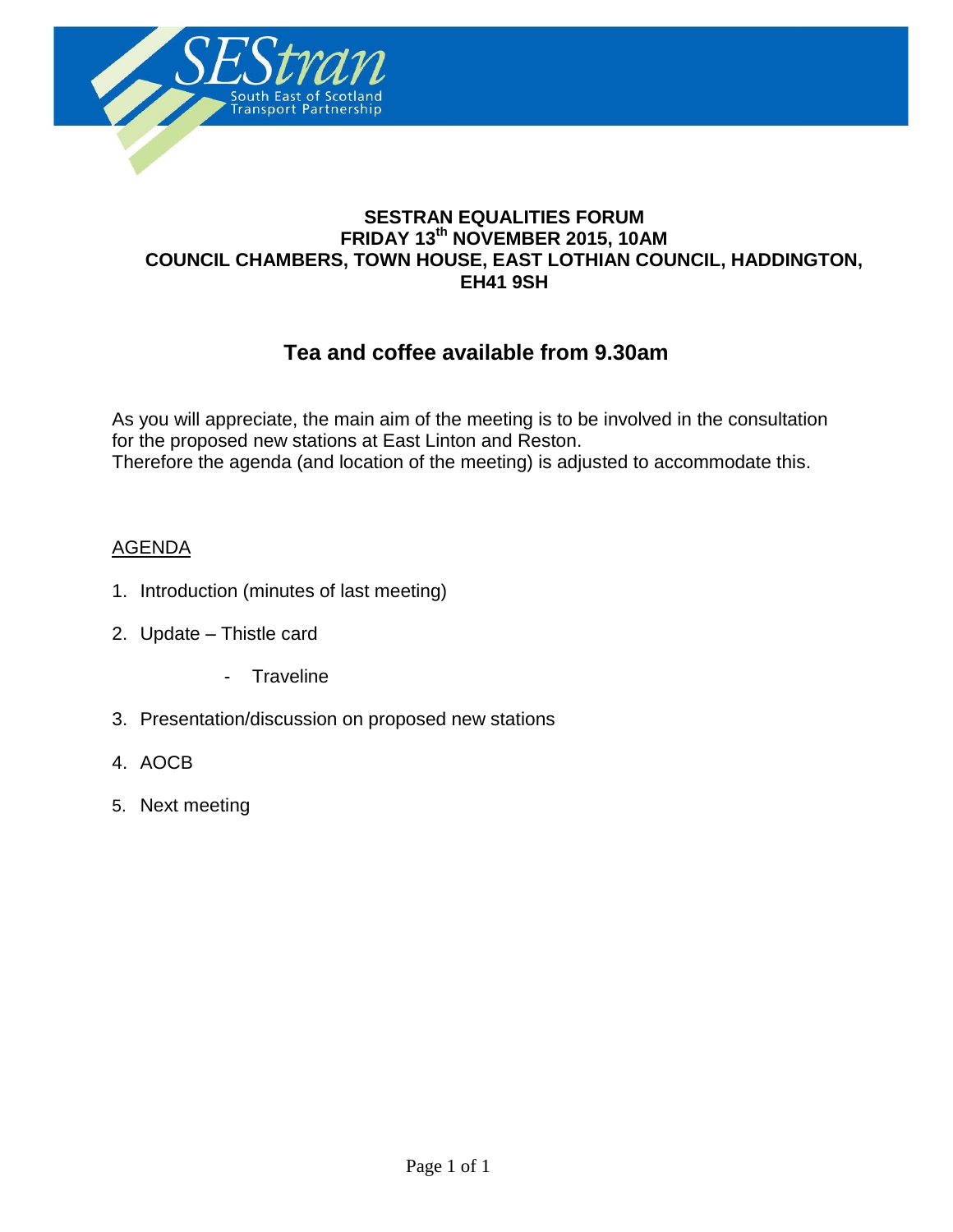

### **SESTRAN EQUALITIES FORUM FRIDAY 13th NOVEMBER 2015, 10AM COUNCIL CHAMBERS, TOWN HOUSE, EAST LOTHIAN COUNCIL, HADDINGTON, EH41 9SH**

**Agenda**

# **Tea and coffee available from 9.30am**

As you will appreciate, the main aim of the meeting is to be involved in the consultation for the proposed new stations at East Linton and Reston. Therefore the agenda (and location of the meeting) is adjusted to accommodate this.

#### AGENDA

- 1. Introduction (minutes of last meeting)
- 2. Update Thistle card
	- Traveline
- 3. Presentation/discussion on proposed new stations
- 4. AOCB
- 5. Next meeting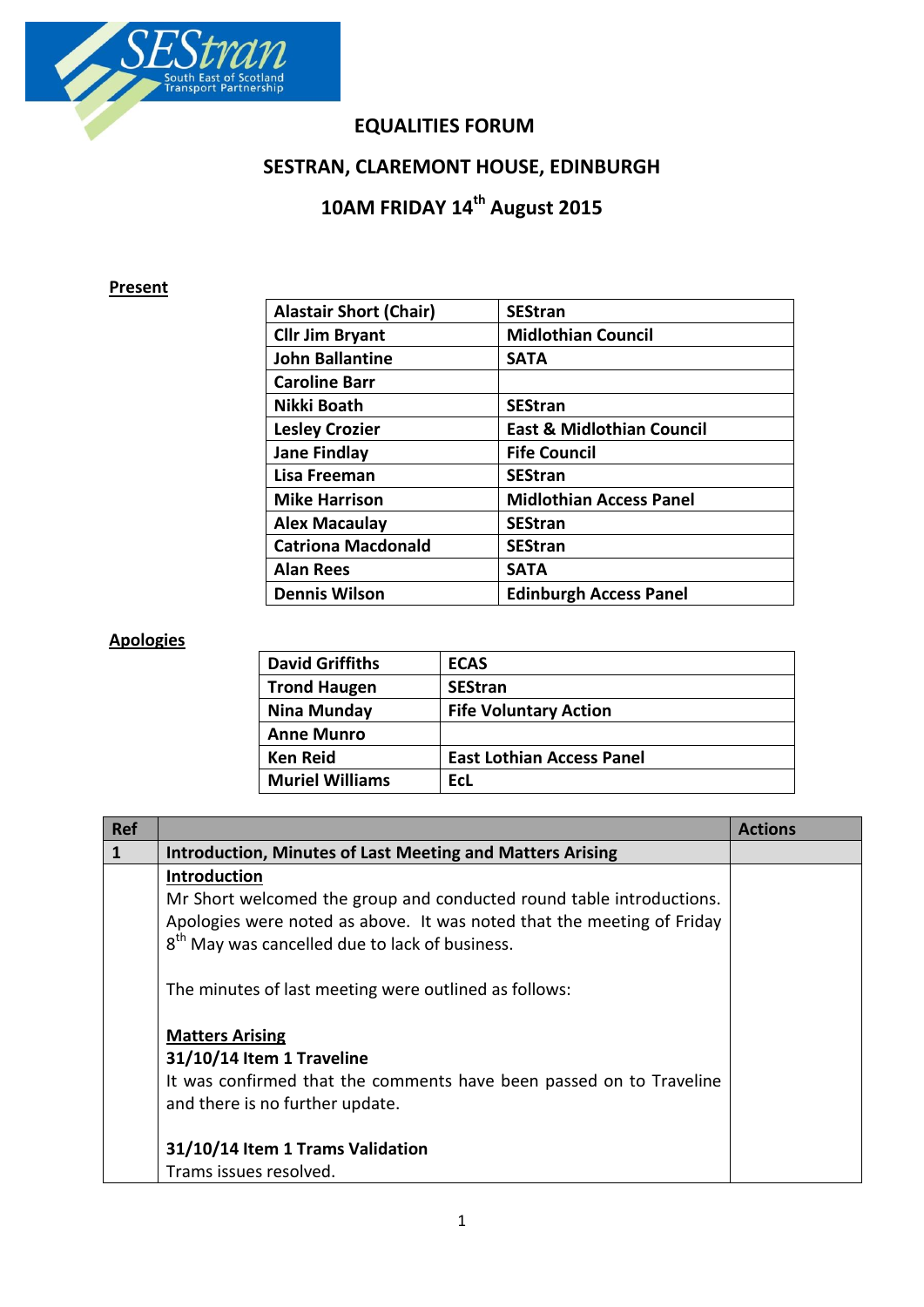

### **EQUALITIES FORUM**

# **SESTRAN, CLAREMONT HOUSE, EDINBURGH**

# **10AM FRIDAY 14th August 2015**

### **Present**

| <b>Alastair Short (Chair)</b> | <b>SEStran</b>                       |
|-------------------------------|--------------------------------------|
| <b>Cllr Jim Bryant</b>        | <b>Midlothian Council</b>            |
| <b>John Ballantine</b>        | <b>SATA</b>                          |
| <b>Caroline Barr</b>          |                                      |
| Nikki Boath                   | <b>SEStran</b>                       |
| <b>Lesley Crozier</b>         | <b>East &amp; Midlothian Council</b> |
| <b>Jane Findlay</b>           | <b>Fife Council</b>                  |
| Lisa Freeman                  | <b>SEStran</b>                       |
| <b>Mike Harrison</b>          | <b>Midlothian Access Panel</b>       |
| <b>Alex Macaulay</b>          | <b>SEStran</b>                       |
| <b>Catriona Macdonald</b>     | <b>SEStran</b>                       |
| <b>Alan Rees</b>              | <b>SATA</b>                          |
| <b>Dennis Wilson</b>          | <b>Edinburgh Access Panel</b>        |
|                               |                                      |

## **Apologies**

| <b>David Griffiths</b> | <b>ECAS</b>                      |
|------------------------|----------------------------------|
| <b>Trond Haugen</b>    | <b>SEStran</b>                   |
| Nina Munday            | <b>Fife Voluntary Action</b>     |
| <b>Anne Munro</b>      |                                  |
| <b>Ken Reid</b>        | <b>East Lothian Access Panel</b> |
| <b>Muriel Williams</b> | EcL                              |

| <b>Ref</b> |                                                                                                        | <b>Actions</b> |
|------------|--------------------------------------------------------------------------------------------------------|----------------|
|            | <b>Introduction, Minutes of Last Meeting and Matters Arising</b>                                       |                |
|            | Introduction                                                                                           |                |
|            | Mr Short welcomed the group and conducted round table introductions.                                   |                |
|            | Apologies were noted as above. It was noted that the meeting of Friday                                 |                |
|            | 8 <sup>th</sup> May was cancelled due to lack of business.                                             |                |
|            | The minutes of last meeting were outlined as follows:                                                  |                |
|            | <b>Matters Arising</b>                                                                                 |                |
|            | 31/10/14 Item 1 Traveline                                                                              |                |
|            | It was confirmed that the comments have been passed on to Traveline<br>and there is no further update. |                |
|            |                                                                                                        |                |
|            | 31/10/14 Item 1 Trams Validation                                                                       |                |
|            | Trams issues resolved.                                                                                 |                |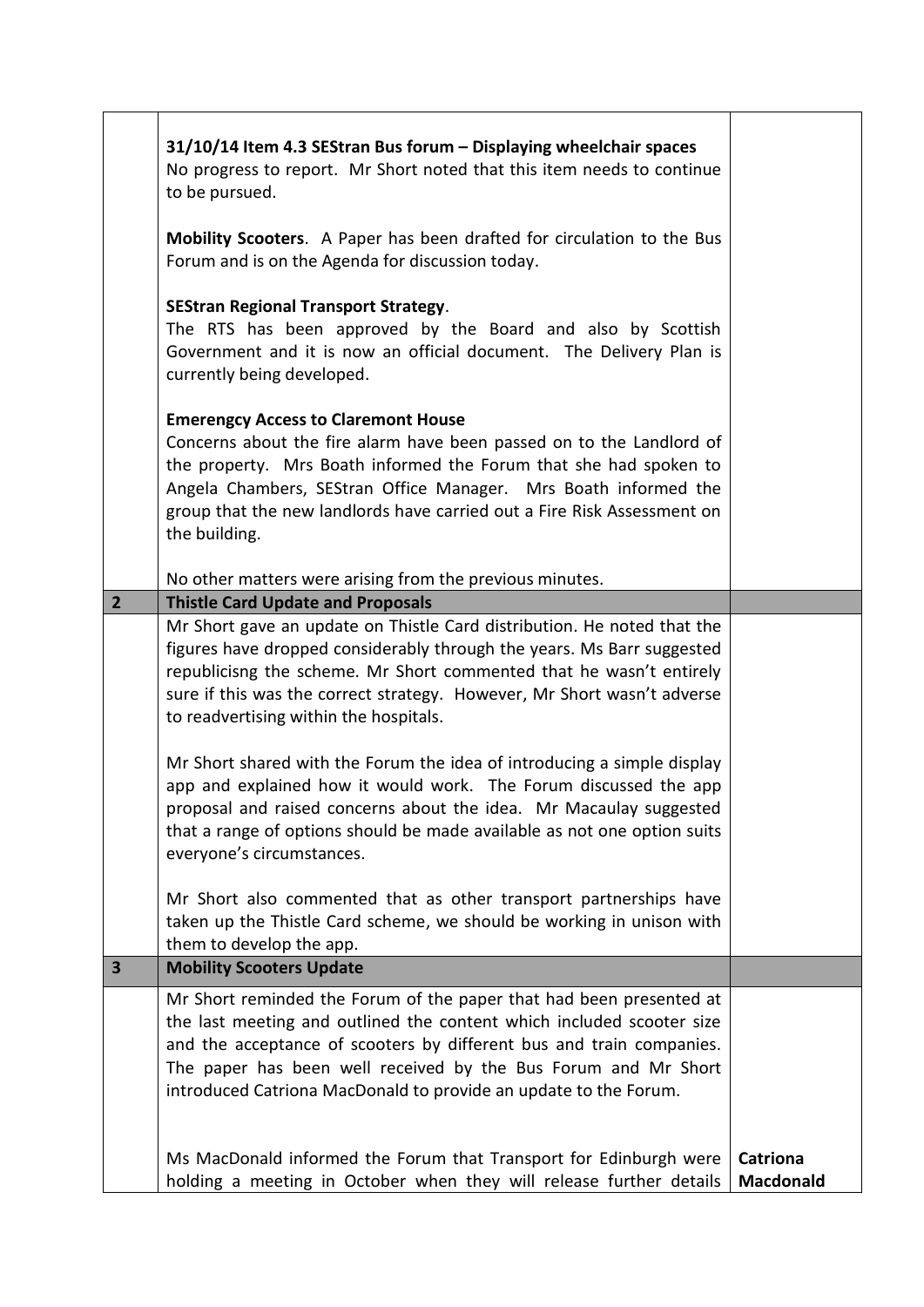|                         | 31/10/14 Item 4.3 SEStran Bus forum - Displaying wheelchair spaces<br>No progress to report. Mr Short noted that this item needs to continue<br>to be pursued.                                                                                                                                                                                             |                                     |
|-------------------------|------------------------------------------------------------------------------------------------------------------------------------------------------------------------------------------------------------------------------------------------------------------------------------------------------------------------------------------------------------|-------------------------------------|
|                         | Mobility Scooters. A Paper has been drafted for circulation to the Bus<br>Forum and is on the Agenda for discussion today.                                                                                                                                                                                                                                 |                                     |
|                         | <b>SEStran Regional Transport Strategy.</b><br>The RTS has been approved by the Board and also by Scottish<br>Government and it is now an official document. The Delivery Plan is<br>currently being developed.                                                                                                                                            |                                     |
|                         | <b>Emerengcy Access to Claremont House</b><br>Concerns about the fire alarm have been passed on to the Landlord of<br>the property. Mrs Boath informed the Forum that she had spoken to<br>Angela Chambers, SEStran Office Manager. Mrs Boath informed the<br>group that the new landlords have carried out a Fire Risk Assessment on<br>the building.     |                                     |
|                         | No other matters were arising from the previous minutes.                                                                                                                                                                                                                                                                                                   |                                     |
| $\overline{2}$          | <b>Thistle Card Update and Proposals</b>                                                                                                                                                                                                                                                                                                                   |                                     |
|                         | Mr Short gave an update on Thistle Card distribution. He noted that the<br>figures have dropped considerably through the years. Ms Barr suggested<br>republicisng the scheme. Mr Short commented that he wasn't entirely<br>sure if this was the correct strategy. However, Mr Short wasn't adverse<br>to readvertising within the hospitals.              |                                     |
|                         | Mr Short shared with the Forum the idea of introducing a simple display<br>app and explained how it would work. The Forum discussed the app<br>proposal and raised concerns about the idea. Mr Macaulay suggested<br>that a range of options should be made available as not one option suits<br>everyone's circumstances.                                 |                                     |
|                         | Mr Short also commented that as other transport partnerships have<br>taken up the Thistle Card scheme, we should be working in unison with<br>them to develop the app.                                                                                                                                                                                     |                                     |
| $\overline{\mathbf{3}}$ | <b>Mobility Scooters Update</b>                                                                                                                                                                                                                                                                                                                            |                                     |
|                         | Mr Short reminded the Forum of the paper that had been presented at<br>the last meeting and outlined the content which included scooter size<br>and the acceptance of scooters by different bus and train companies.<br>The paper has been well received by the Bus Forum and Mr Short<br>introduced Catriona MacDonald to provide an update to the Forum. |                                     |
|                         | Ms MacDonald informed the Forum that Transport for Edinburgh were<br>holding a meeting in October when they will release further details                                                                                                                                                                                                                   | <b>Catriona</b><br><b>Macdonald</b> |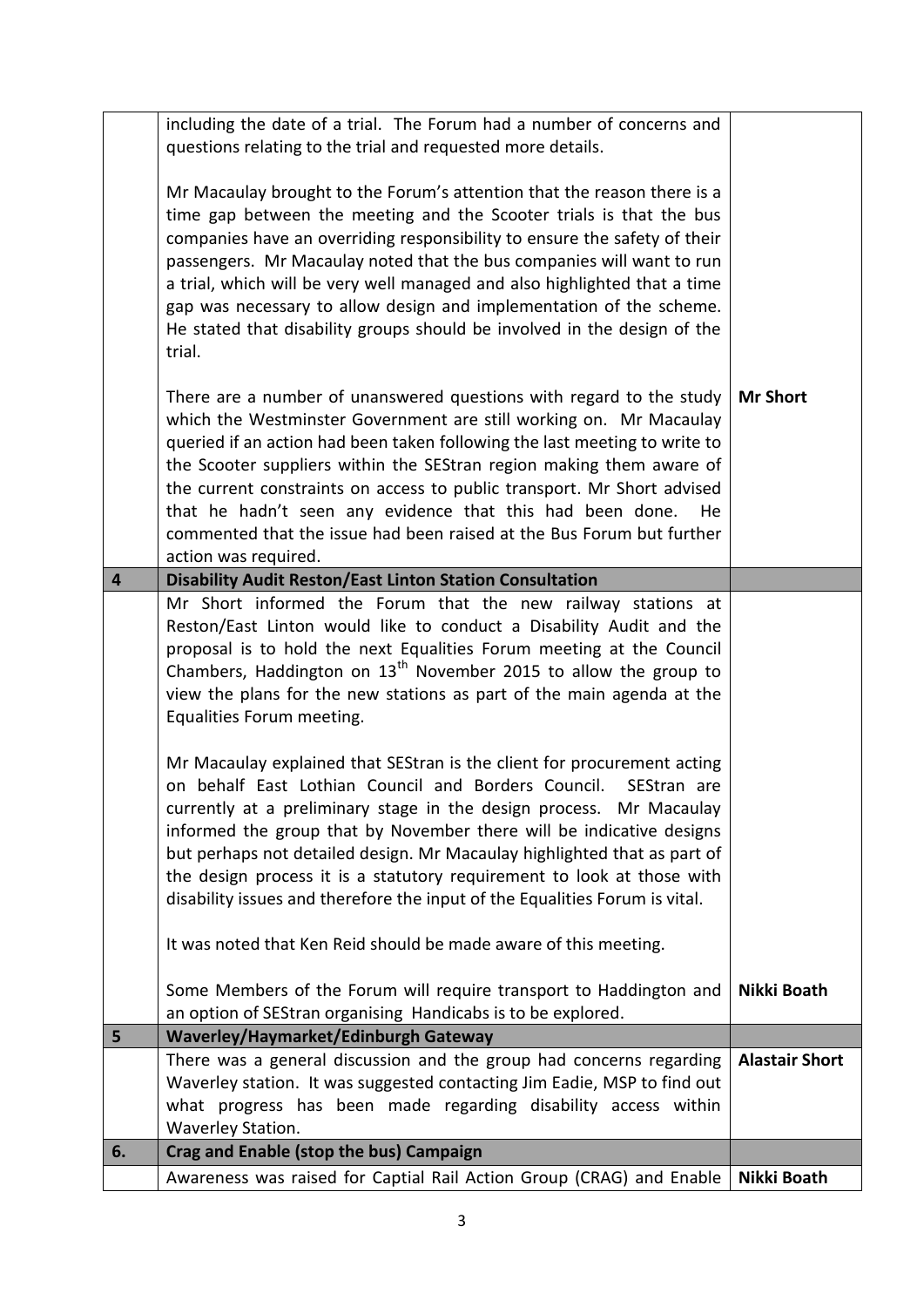|    | including the date of a trial. The Forum had a number of concerns and        |                       |
|----|------------------------------------------------------------------------------|-----------------------|
|    | questions relating to the trial and requested more details.                  |                       |
|    |                                                                              |                       |
|    | Mr Macaulay brought to the Forum's attention that the reason there is a      |                       |
|    | time gap between the meeting and the Scooter trials is that the bus          |                       |
|    | companies have an overriding responsibility to ensure the safety of their    |                       |
|    | passengers. Mr Macaulay noted that the bus companies will want to run        |                       |
|    |                                                                              |                       |
|    | a trial, which will be very well managed and also highlighted that a time    |                       |
|    | gap was necessary to allow design and implementation of the scheme.          |                       |
|    | He stated that disability groups should be involved in the design of the     |                       |
|    | trial.                                                                       |                       |
|    |                                                                              |                       |
|    | There are a number of unanswered questions with regard to the study          | <b>Mr Short</b>       |
|    | which the Westminster Government are still working on. Mr Macaulay           |                       |
|    |                                                                              |                       |
|    | queried if an action had been taken following the last meeting to write to   |                       |
|    | the Scooter suppliers within the SEStran region making them aware of         |                       |
|    | the current constraints on access to public transport. Mr Short advised      |                       |
|    | that he hadn't seen any evidence that this had been done.<br>He              |                       |
|    | commented that the issue had been raised at the Bus Forum but further        |                       |
|    | action was required.                                                         |                       |
| 4  | <b>Disability Audit Reston/East Linton Station Consultation</b>              |                       |
|    | Mr Short informed the Forum that the new railway stations at                 |                       |
|    | Reston/East Linton would like to conduct a Disability Audit and the          |                       |
|    | proposal is to hold the next Equalities Forum meeting at the Council         |                       |
|    | Chambers, Haddington on 13 <sup>th</sup> November 2015 to allow the group to |                       |
|    |                                                                              |                       |
|    | view the plans for the new stations as part of the main agenda at the        |                       |
|    | Equalities Forum meeting.                                                    |                       |
|    | Mr Macaulay explained that SEStran is the client for procurement acting      |                       |
|    | on behalf East Lothian Council and Borders Council. SEStran are              |                       |
|    | currently at a preliminary stage in the design process. Mr Macaulay          |                       |
|    |                                                                              |                       |
|    | informed the group that by November there will be indicative designs         |                       |
|    | but perhaps not detailed design. Mr Macaulay highlighted that as part of     |                       |
|    | the design process it is a statutory requirement to look at those with       |                       |
|    | disability issues and therefore the input of the Equalities Forum is vital.  |                       |
|    | It was noted that Ken Reid should be made aware of this meeting.             |                       |
|    | Some Members of the Forum will require transport to Haddington and           | Nikki Boath           |
|    | an option of SEStran organising Handicabs is to be explored.                 |                       |
| 5  | Waverley/Haymarket/Edinburgh Gateway                                         |                       |
|    | There was a general discussion and the group had concerns regarding          | <b>Alastair Short</b> |
|    | Waverley station. It was suggested contacting Jim Eadie, MSP to find out     |                       |
|    |                                                                              |                       |
|    | what progress has been made regarding disability access within               |                       |
|    | Waverley Station.                                                            |                       |
| 6. | Crag and Enable (stop the bus) Campaign                                      |                       |
|    | Awareness was raised for Captial Rail Action Group (CRAG) and Enable         | Nikki Boath           |